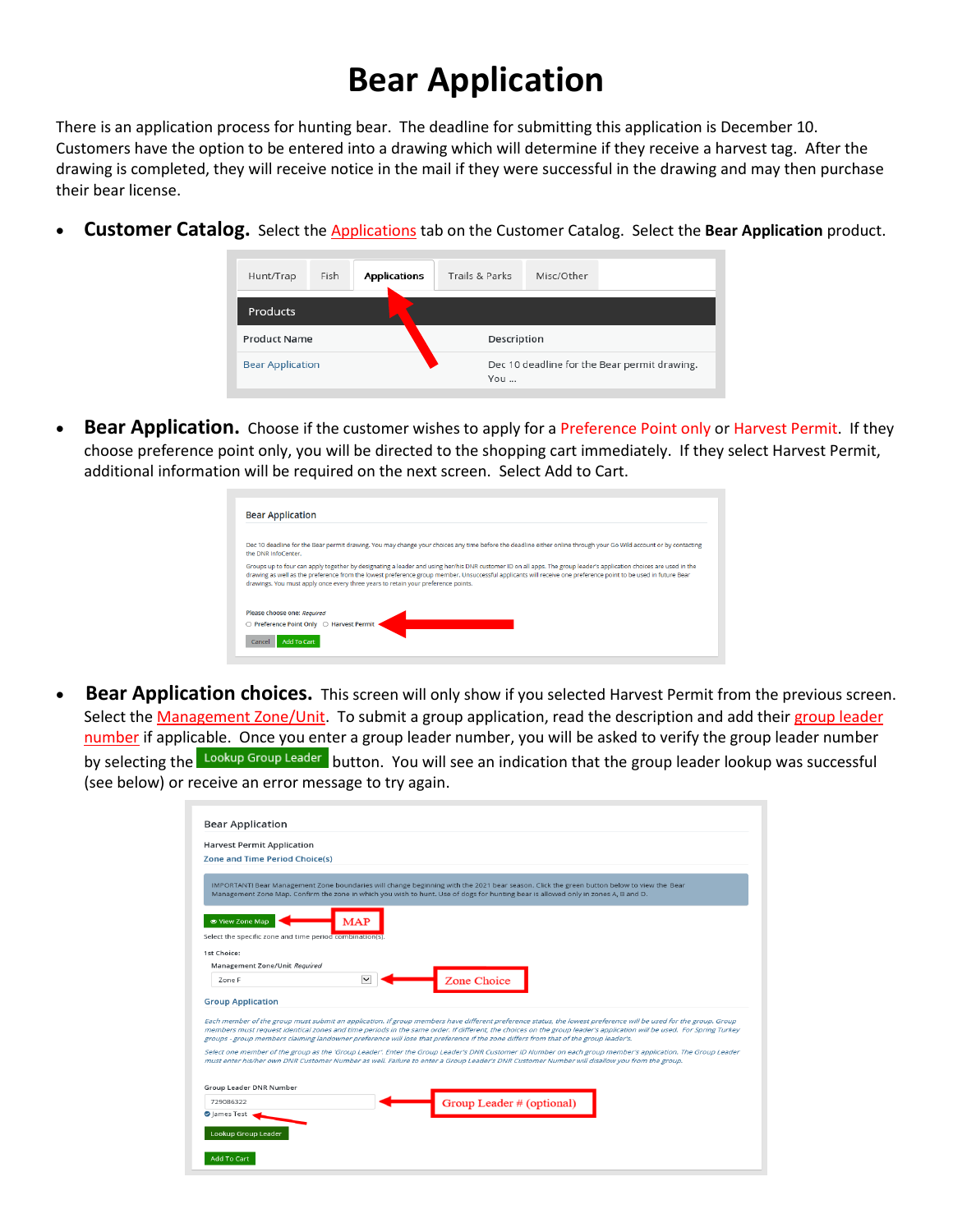## **Bear Application**

There is an application process for hunting bear. The deadline for submitting this application is December 10. Customers have the option to be entered into a drawing which will determine if they receive a harvest tag. After the drawing is completed, they will receive notice in the mail if they were successful in the drawing and may then purchase their bear license.

• **Customer Catalog.** Select the Applications tab on the Customer Catalog. Select the **Bear Application** product.

| Hunt/Trap               | Fish | <b>Applications</b> | Trails & Parks | Misc/Other                                   |  |
|-------------------------|------|---------------------|----------------|----------------------------------------------|--|
| Products                |      |                     |                |                                              |  |
| <b>Product Name</b>     |      |                     | Description    |                                              |  |
| <b>Bear Application</b> |      |                     | You            | Dec 10 deadline for the Bear permit drawing. |  |

• **Bear Application.** Choose if the customer wishes to apply for a Preference Point only or Harvest Permit. If they choose preference point only, you will be directed to the shopping cart immediately. If they select Harvest Permit, additional information will be required on the next screen. Select Add to Cart.

| <b>Bear Application</b>                                                                                                                                                                                                                                                                                                                                                                                                   |  |
|---------------------------------------------------------------------------------------------------------------------------------------------------------------------------------------------------------------------------------------------------------------------------------------------------------------------------------------------------------------------------------------------------------------------------|--|
|                                                                                                                                                                                                                                                                                                                                                                                                                           |  |
| Dec 10 deadline for the Bear permit drawing. You may change your choices any time before the deadline either online through your Go Wild account or by contacting<br>the DNR InfoCenter.                                                                                                                                                                                                                                  |  |
| Groups up to four can apply together by designating a leader and using her/his DNR customer ID on all apps. The group leader's application choices are used in the<br>drawing as well as the preference from the lowest preference group member. Unsuccessful applicants will receive one preference point to be used in future Bear<br>drawings. You must apply once every three years to retain your preference points. |  |
| Please choose one: Required                                                                                                                                                                                                                                                                                                                                                                                               |  |
| ○ Preference Point Only ○ Harvest Permit                                                                                                                                                                                                                                                                                                                                                                                  |  |
| <b>Add To Cart</b><br>Cancel                                                                                                                                                                                                                                                                                                                                                                                              |  |
|                                                                                                                                                                                                                                                                                                                                                                                                                           |  |

**Bear Application choices.** This screen will only show if you selected Harvest Permit from the previous screen. Select the Management Zone/Unit. To submit a group application, read the description and add their group leader number if applicable. Once you enter a group leader number, you will be asked to verify the group leader number by selecting the Lookup Group Leader button. You will see an indication that the group leader lookup was successful (see below) or receive an error message to try again.

| <b>Zone and Time Period Choice(s)</b>                                       |                                                                                                                                                                                                                                                                                                                                                                                                                                                                                                                                                                                                                                              |
|-----------------------------------------------------------------------------|----------------------------------------------------------------------------------------------------------------------------------------------------------------------------------------------------------------------------------------------------------------------------------------------------------------------------------------------------------------------------------------------------------------------------------------------------------------------------------------------------------------------------------------------------------------------------------------------------------------------------------------------|
|                                                                             | IMPORTANTI Bear Management Zone boundaries will change beginning with the 2021 bear season. Click the green button below to view the Bear<br>Management Zone Map. Confirm the zone in which you wish to hunt. Use of dogs for hunting bear is allowed only in zones A, B and D.                                                                                                                                                                                                                                                                                                                                                              |
| ● View Zone Map<br>Select the specific zone and time period combination(s). | MAP                                                                                                                                                                                                                                                                                                                                                                                                                                                                                                                                                                                                                                          |
| 1st Choice:                                                                 |                                                                                                                                                                                                                                                                                                                                                                                                                                                                                                                                                                                                                                              |
| Management Zone/Unit Required                                               |                                                                                                                                                                                                                                                                                                                                                                                                                                                                                                                                                                                                                                              |
| Zone F                                                                      | Zone Choice                                                                                                                                                                                                                                                                                                                                                                                                                                                                                                                                                                                                                                  |
| <b>Group Application</b>                                                    |                                                                                                                                                                                                                                                                                                                                                                                                                                                                                                                                                                                                                                              |
|                                                                             | Each member of the group must submit an application. If group members have different preference status, the lowest preference will be used for the group. Group<br>members must request identical zones and time periods in the same order. If different, the choices on the group leader's application will be used. For Spring Turkey<br>groups - group members claiming landowner preference will lose that preference if the zone differs from that of the group leader's.<br>Select one member of the group as the 'Group Leader'. Enter the Group Leader's DNR Customer ID Number on each group member's application. The Group Leader |
|                                                                             | must enter his/her own DNR Customer Number as well. Failure to enter a Group Leader's DNR Customer Number will disallow you from the group.                                                                                                                                                                                                                                                                                                                                                                                                                                                                                                  |
|                                                                             |                                                                                                                                                                                                                                                                                                                                                                                                                                                                                                                                                                                                                                              |
|                                                                             |                                                                                                                                                                                                                                                                                                                                                                                                                                                                                                                                                                                                                                              |
| Group Leader DNR Number                                                     |                                                                                                                                                                                                                                                                                                                                                                                                                                                                                                                                                                                                                                              |
| 729086322<br>C lames Test                                                   | Group Leader # (optional)                                                                                                                                                                                                                                                                                                                                                                                                                                                                                                                                                                                                                    |